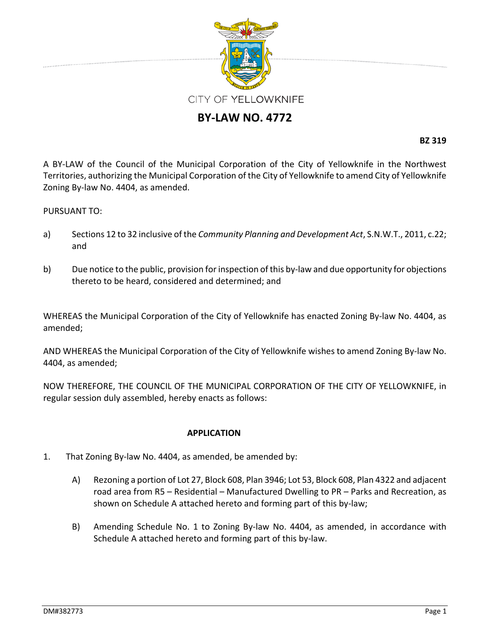

## **BY‐LAW NO. 4772**

**BZ 319**

A BY‐LAW of the Council of the Municipal Corporation of the City of Yellowknife in the Northwest Territories, authorizing the Municipal Corporation of the City of Yellowknife to amend City of Yellowknife Zoning By‐law No. 4404, as amended.

## PURSUANT TO:

- a) Sections 12 to 32 inclusive of the *Community Planning and Development Act*, S.N.W.T., 2011, c.22; and
- b) Due notice to the public, provision for inspection of this by-law and due opportunity for objections thereto to be heard, considered and determined; and

WHEREAS the Municipal Corporation of the City of Yellowknife has enacted Zoning By‐law No. 4404, as amended;

AND WHEREAS the Municipal Corporation of the City of Yellowknife wishes to amend Zoning By‐law No. 4404, as amended;

NOW THEREFORE, THE COUNCIL OF THE MUNICIPAL CORPORATION OF THE CITY OF YELLOWKNIFE, in regular session duly assembled, hereby enacts as follows:

## **APPLICATION**

- 1. That Zoning By‐law No. 4404, as amended, be amended by:
	- A) Rezoning a portion of Lot 27, Block 608, Plan 3946; Lot 53, Block 608, Plan 4322 and adjacent road area from R5 – Residential – Manufactured Dwelling to PR – Parks and Recreation, as shown on Schedule A attached hereto and forming part of this by‐law;
	- B) Amending Schedule No. 1 to Zoning By-law No. 4404, as amended, in accordance with Schedule A attached hereto and forming part of this by‐law.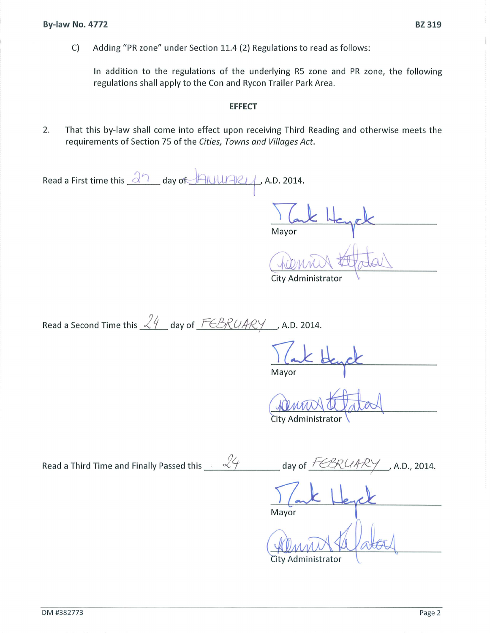Adding "PR zone" under Section 11.4 (2) Regulations to read as follows: C)

In addition to the regulations of the underlying R5 zone and PR zone, the following regulations shall apply to the Con and Rycon Trailer Park Area.

## **EFFECT**

2. That this by-law shall come into effect upon receiving Third Reading and otherwise meets the requirements of Section 75 of the Cities, Towns and Villages Act.

| Read a First time this $\frac{\partial^n}{\partial x}$ day of $\frac{\partial^n}{\partial x}$ A.D. 2014. |                                         |
|----------------------------------------------------------------------------------------------------------|-----------------------------------------|
|                                                                                                          | $\epsilon \Vdash$<br>Mayor              |
|                                                                                                          | City Administrator                      |
| Read a Second Time this $\frac{24}{4}$ day of $\frac{FEBRUARY}{2}$ , A.D. 2014.                          |                                         |
|                                                                                                          | Mayor                                   |
|                                                                                                          | City Administrator                      |
| Read a Third Time and Finally Passed this $\sqrt{4}$                                                     | day of $\frac{FCBRCAPX}{$ , A.D., 2014. |
|                                                                                                          | Mayor                                   |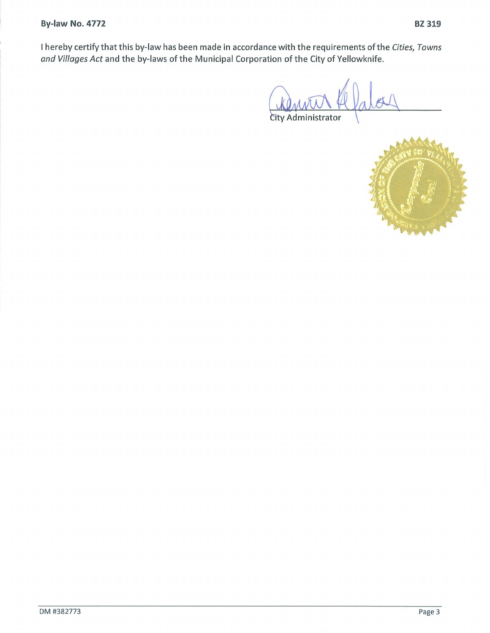City Administrator